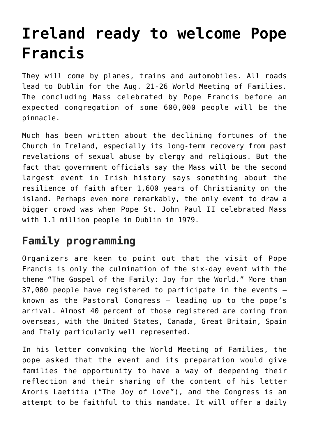## **[Ireland ready to welcome Pope](https://www.osvnews.com/2018/08/19/ireland-ready-to-welcome-pope-francis/) [Francis](https://www.osvnews.com/2018/08/19/ireland-ready-to-welcome-pope-francis/)**

They will come by planes, trains and automobiles. All roads lead to Dublin for the Aug. 21-26 World Meeting of Families. The concluding Mass celebrated by Pope Francis before an expected congregation of some 600,000 people will be the pinnacle.

Much has been written about the declining fortunes of the Church in Ireland, especially its long-term recovery from past revelations of sexual abuse by clergy and religious. But the fact that government officials say the Mass will be the second largest event in Irish history says something about the resilience of faith after 1,600 years of Christianity on the island. Perhaps even more remarkably, the only event to draw a bigger crowd was when Pope St. John Paul II celebrated Mass with 1.1 million people in Dublin in 1979.

## **Family programming**

Organizers are keen to point out that the visit of Pope Francis is only the culmination of the six-day event with the theme "The Gospel of the Family: Joy for the World." More than 37,000 people have registered to participate in the events known as the Pastoral Congress — leading up to the pope's arrival. Almost 40 percent of those registered are coming from overseas, with the United States, Canada, Great Britain, Spain and Italy particularly well represented.

In his letter convoking the World Meeting of Families, the pope asked that the event and its preparation would give families the opportunity to have a way of deepening their reflection and their sharing of the content of his letter Amoris Laetitia ("The Joy of Love"), and the Congress is an attempt to be faithful to this mandate. It will offer a daily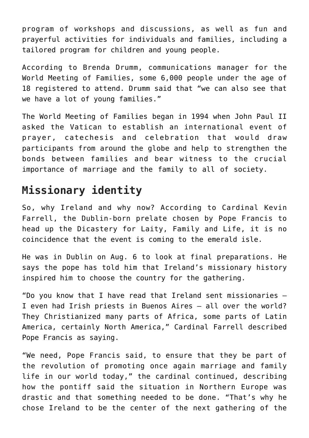program of workshops and discussions, as well as fun and prayerful activities for individuals and families, including a tailored program for children and young people.

According to Brenda Drumm, communications manager for the World Meeting of Families, some 6,000 people under the age of 18 registered to attend. Drumm said that "we can also see that we have a lot of young families."

The World Meeting of Families began in 1994 when John Paul II asked the Vatican to establish an international event of prayer, catechesis and celebration that would draw participants from around the globe and help to strengthen the bonds between families and bear witness to the crucial importance of marriage and the family to all of society.

## **Missionary identity**

So, why Ireland and why now? According to Cardinal Kevin Farrell, the Dublin-born prelate chosen by Pope Francis to head up the Dicastery for Laity, Family and Life, it is no coincidence that the event is coming to the emerald isle.

He was in Dublin on Aug. 6 to look at final preparations. He says the pope has told him that Ireland's missionary history inspired him to choose the country for the gathering.

"Do you know that I have read that Ireland sent missionaries — I even had Irish priests in Buenos Aires — all over the world? They Christianized many parts of Africa, some parts of Latin America, certainly North America," Cardinal Farrell described Pope Francis as saying.

"We need, Pope Francis said, to ensure that they be part of the revolution of promoting once again marriage and family life in our world today," the cardinal continued, describing how the pontiff said the situation in Northern Europe was drastic and that something needed to be done. "That's why he chose Ireland to be the center of the next gathering of the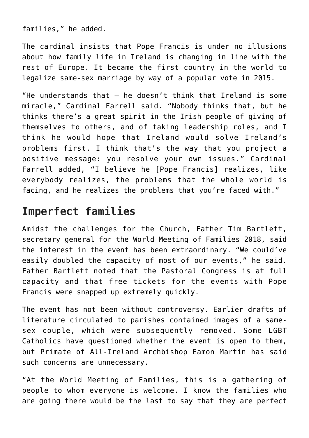families," he added.

The cardinal insists that Pope Francis is under no illusions about how family life in Ireland is changing in line with the rest of Europe. It became the first country in the world to legalize same-sex marriage by way of a popular vote in 2015.

"He understands that — he doesn't think that Ireland is some miracle," Cardinal Farrell said. "Nobody thinks that, but he thinks there's a great spirit in the Irish people of giving of themselves to others, and of taking leadership roles, and I think he would hope that Ireland would solve Ireland's problems first. I think that's the way that you project a positive message: you resolve your own issues." Cardinal Farrell added, "I believe he [Pope Francis] realizes, like everybody realizes, the problems that the whole world is facing, and he realizes the problems that you're faced with."

## **Imperfect families**

Amidst the challenges for the Church, Father Tim Bartlett, secretary general for the World Meeting of Families 2018, said the interest in the event has been extraordinary. "We could've easily doubled the capacity of most of our events," he said. Father Bartlett noted that the Pastoral Congress is at full capacity and that free tickets for the events with Pope Francis were snapped up extremely quickly.

The event has not been without controversy. Earlier drafts of literature circulated to parishes contained images of a samesex couple, which were subsequently removed. Some LGBT Catholics have questioned whether the event is open to them, but Primate of All-Ireland Archbishop Eamon Martin has said such concerns are unnecessary.

"At the World Meeting of Families, this is a gathering of people to whom everyone is welcome. I know the families who are going there would be the last to say that they are perfect